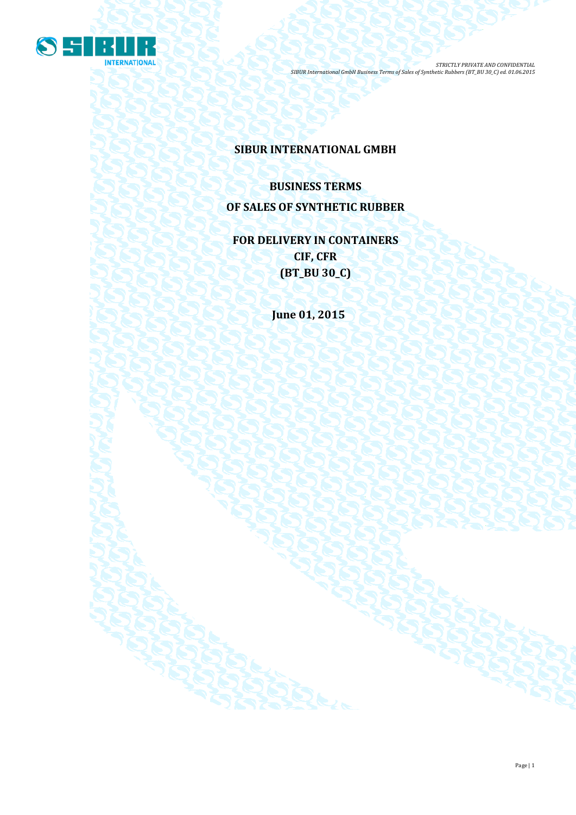

# **SIBUR INTERNATIONAL GMBH**

# **BUSINESS TERMS OF SALES OF SYNTHETIC RUBBER**

**FOR DELIVERY IN CONTAINERS CIF, CFR (BT\_BU 30\_C)**

**June 01, 2015**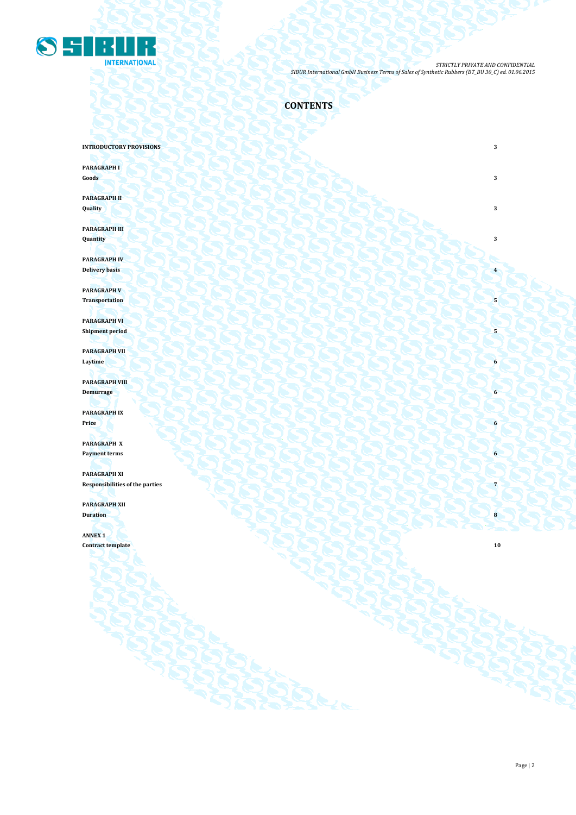

**CONTENTS**

**INTRODUCTORY PROVISIONS** 3

**PARAGRAPH I**

**Goods 3 3** 

**PARAGRAPH II Quality 3**

**PARAGRAPH III Quantity 3**

**PARAGRAPH IV Delivery basis 4 1999 1999 1999 1999 1999 1999 1999 1999 1999 1999 1999 1999 1999 1999 1999 1999 1999 1999 1999 1999 1999 1999 1999 1999 1999 1999 1999 1999 1999** 

**PARAGRAPH V** Transportation  $\left( \cdot \right)$   $\left( \cdot \right)$   $\left( \cdot \right)$   $\left( \cdot \right)$   $\left( \cdot \right)$   $\left( \cdot \right)$   $\left( \cdot \right)$   $\left( \cdot \right)$   $\left( \cdot \right)$ 

**PARAGRAPH VI Shipment period 5** 

**PARAGRAPH VII Laytime 6**

**PARAGRAPH VIII Demurrage 6**

**PARAGRAPH IX Price 6**

**PARAGRAPH X Payment terms 6** 

**PARAGRAPH XI Responsibilities of the parties 7 PARAGRAPH XII**

**Duration 8 8** 

**ANNEX 1 Contract template 10** 

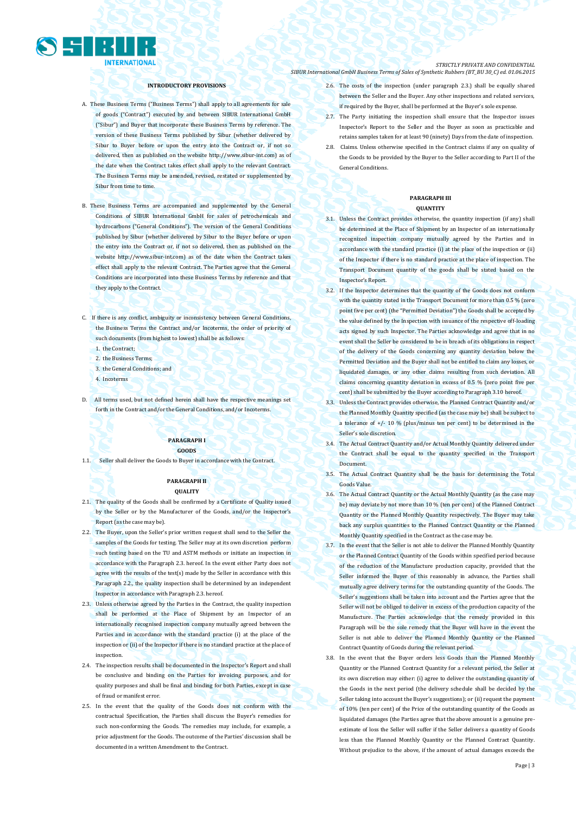

## **INTRODUCTORY PROVISIONS**

- A. These Business Terms ("Business Terms") shall apply to all agreements for sale of goods ("Contract") executed by and between SIBUR International GmbH ("Sibur") and Buyer that incorporate these Business Terms by reference. The version of these Business Terms published by Sibur (whether delivered by Sibur to Buyer before or upon the entry into the Contract or, if not so delivered, then as published on the websit[e http://www.sibur-int.com\)](http://www.sibur-int.com/) as of the date when the Contract takes effect shall apply to the relevant Contract. The Business Terms may be amended, revised, restated or supplemented by Sibur from time to time.
- B. These Business Terms are accompanied and supplemented by the General Conditions of SIBUR International GmbH for sales of petrochemicals and hydrocarbons ("General Conditions"). The version of the General Conditions published by Sibur (whether delivered by Sibur to the Buyer before or upon the entry into the Contract or, if not so delivered, then as published on the website [http://www.sibur-int.com\)](http://www.sibur-int.com/) as of the date when the Contract takes effect shall apply to the relevant Contract. The Parties agree that the General Conditions are incorporated into these Business Terms by reference and that they apply to the Contract.
- C. If there is any conflict, ambiguity or inconsistency between General Conditions, the Business Terms the Contract and/or Incoterms, the order of priority of such documents (from highest to lowest) shall be as follows:
	- 1. the Contract;
	- 2. the Business Terms;
	- 3. the General Conditions; and
	- 4. Incoterms
- D. All terms used, but not defined herein shall have the respective meanings set forth in the Contract and/or the General Conditions, and/or Incoterms.

# **PARAGRAPH I GOODS**

1.1. Seller shall deliver the Goods to Buyer in accordance with the Contract.

# **PARAGRAPH II QUALITY**

- 2.1. The quality of the Goods shall be confirmed by a Certificate of Quality issued by the Seller or by the Manufacturer of the Goods, and/or the Inspector's Report (as the case may be).
- 2.2. The Buyer, upon the Seller's prior written request shall send to the Seller the samples of the Goods for testing. The Seller may at its own discretion perform such testing based on the TU and ASTM methods or initiate an inspection in accordance with the Paragraph 2.3. hereof. In the event either Party does not agree with the results of the test(s) made by the Seller in accordance with this Paragraph 2.2., the quality inspection shall be determined by an independent Inspector in accordance with Paragraph 2.3. hereof.
- 2.3. Unless otherwise agreed by the Parties in the Contract, the quality inspection shall be performed at the Place of Shipment by an Inspector of an internationally recognised inspection company mutually agreed between the Parties and in accordance with the standard practice (i) at the place of the inspection or (ii) of the Inspector if there is no standard practice at the place of inspection.
- 2.4. The inspection results shall be documented in the Inspector's Report and shall be conclusive and binding on the Parties for invoicing purposes, and for quality purposes and shall be final and binding for both Parties, except in case of fraud or manifest error.
- 2.5. In the event that the quality of the Goods does not conform with the contractual Specification, the Parties shall discuss the Buyer's remedies for such non-conforming the Goods. The remedies may include, for example, a price adjustment for the Goods. The outcome of the Parties' discussion shall be documented in a written Amendment to the Contract.

#### *STRICTLY PRIVATE AND CONFIDENTIAL SIBUR International GmbH Business Terms of Sales of Synthetic Rubbers (BT\_BU 30\_C) ed. 01.06.2015*

- 2.6. The costs of the inspection (under paragraph 2.3.) shall be equally shared between the Seller and the Buyer. Any other inspections and related services, if required by the Buyer, shall be performed at the Buyer's sole expense.
- 2.7. The Party initiating the inspection shall ensure that the Inspector issues Inspector's Report to the Seller and the Buyer as soon as practicable and retains samples taken for at least 90 (ninety) Days from the date of inspection.
- 2.8. Claims. Unless otherwise specified in the Contract claims if any on quality of the Goods to be provided by the Buyer to the Seller according to Part II of the General Conditions.

#### **PARAGRAPH III QUANTITY**

- 3.1. Unless the Contract provides otherwise, the quantity inspection (if any) shall be determined at the Place of Shipment by an Inspector of an internationally recognized inspection company mutually agreed by the Parties and in accordance with the standard practice (i) at the place of the inspection or (ii) of the Inspector if there is no standard practice at the place of inspection. The Transport Document quantity of the goods shall be stated based on the Inspector's Report.
- 3.2. If the Inspector determines that the quantity of the Goods does not conform with the quantity stated in the Transport Document for more than 0.5 % (zero point five per cent) (the "Permitted Deviation") the Goods shall be accepted by the value defined by the Inspection with issuance of the respective off-loading acts signed by such Inspector. The Parties acknowledge and agree that in no event shall the Seller be considered to be in breach of its obligations in respect of the delivery of the Goods concerning any quantity deviation below the Permitted Deviation and the Buyer shall not be entitled to claim any losses, or liquidated damages, or any other claims resulting from such deviation. All claims concerning quantity deviation in excess of 0.5 % (zero point five per cent) shall be submitted by the Buyer according to Paragraph 3.10 hereof.
- 3.3. Unless the Contract provides otherwise, the Planned Contract Quantity and/or the Planned Monthly Quantity specified (as the case may be) shall be subject to tolerance of  $+/- 10$  % (plus/minus ten per cent) to be determined in the Seller's sole discretion.
- 3.4. The Actual Contract Quantity and/or Actual Monthly Quantity delivered under the Contract shall be equal to the quantity specified in the Transport Document.
- 3.5. The Actual Contract Quantity shall be the basis for determining the Total Goods Value.
- 3.6. The Actual Contract Quantity or the Actual Monthly Quantity (as the case may be) may deviate by not more than 10 % (ten per cent) of the Planned Contract Quantity or the Planned Monthly Quantity respectively. The Buyer may take back any surplus quantities to the Planned Contract Quantity or the Planned Monthly Quantity specified in the Contract as the case may be.
- 3.7. In the event that the Seller is not able to deliver the Planned Monthly Quantity or the Planned Contract Quantity of the Goods within specified period because of the reduction of the Manufacture production capacity, provided that the Seller informed the Buyer of this reasonably in advance, the Parties shall mutually agree delivery terms for the outstanding quantity of the Goods. The Seller's suggestions shall be taken into account and the Parties agree that the Seller will not be obliged to deliver in excess of the production capacity of the Manufacture. The Parties acknowledge that the remedy provided in this Paragraph will be the sole remedy that the Buyer will have in the event the Seller is not able to deliver the Planned Monthly Quantity or the Planned Contract Quantity of Goods during the relevant period.
- 3.8. In the event that the Buyer orders less Goods than the Planned Monthly Quantity or the Planned Contract Quantity for a relevant period, the Seller at its own discretion may either: (i) agree to deliver the outstanding quantity of the Goods in the next period (the delivery schedule shall be decided by the Seller taking into account the Buyer's suggestions); or (ii) request the payment of 10% (ten per cent) of the Price of the outstanding quantity of the Goods as liquidated damages (the Parties agree that the above amount is a genuine preestimate of loss the Seller will suffer if the Seller delivers a quantity of Goods less than the Planned Monthly Quantity or the Planned Contract Quantity. Without prejudice to the above, if the amount of actual damages exceeds the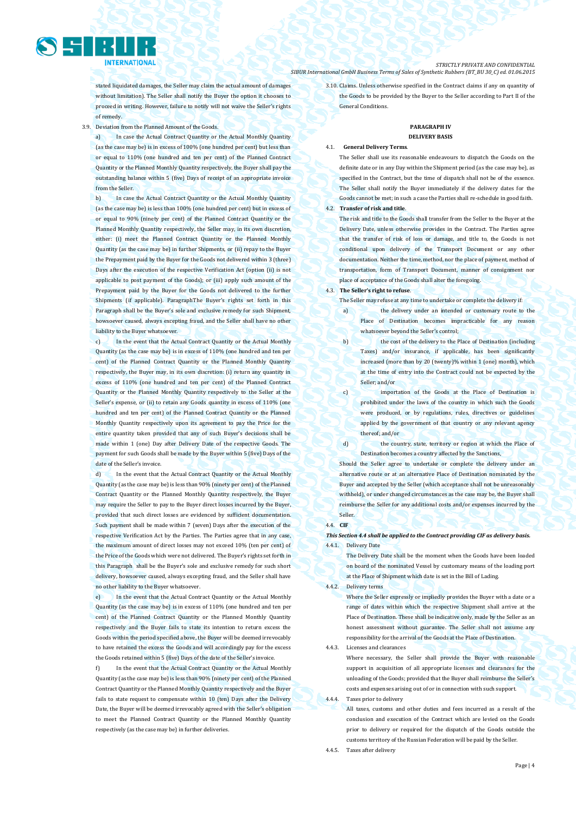stated liquidated damages, the Seller may claim the actual amount of damages without limitation). The Seller shall notify the Buyer the option it chooses to proceed in writing. However, failure to notify will not waive the Seller's rights of remedy.

3.9. Deviation from the Planned Amount of the Goods.

a) In case the Actual Contract Quantity or the Actual Monthly Quantity (as the case may be) is in excess of 100% (one hundred per cent) but less than or equal to 110% (one hundred and ten per cent) of the Planned Contract Quantity or the Planned Monthly Quantity respectively, the Buyer shall pay the outstanding balance within 5 (five) Days of receipt of an appropriate invoice from the Seller.

b) In case the Actual Contract Quantity or the Actual Monthly Quantity (as the case may be) is less than 100% (one hundred per cent) but in excess of or equal to 90% (ninety per cent) of the Planned Contract Quantity or the Planned Monthly Quantity respectively, the Seller may, in its own discretion, either: (i) meet the Planned Contract Quantity or the Planned Monthly Quantity (as the case may be) in further Shipments, or (ii) repay to the Buyer the Prepayment paid by the Buyer for the Goods not delivered within 3 (three) Days after the execution of the respective Verification Act (option (ii) is not applicable to post payment of the Goods); or (iii) apply such amount of the Prepayment paid by the Buyer for the Goods not delivered to the further Shipments (if applicable). ParagraphThe Buyer's rights set forth in this Paragraph shall be the Buyer's sole and exclusive remedy for such Shipment, howsoever caused, always excepting fraud, and the Seller shall have no other liability to the Buyer whatsoever.

c) In the event that the Actual Contract Quantity or the Actual Monthly Quantity (as the case may be) is in excess of 110% (one hundred and ten per cent) of the Planned Contract Quantity or the Planned Monthly Quantity respectively, the Buyer may, in its own discretion: (i) return any quantity in excess of 110% (one hundred and ten per cent) of the Planned Contract Quantity or the Planned Monthly Quantity respectively to the Seller at the Seller's expense, or (ii) to retain any Goods quantity in excess of 110% (one hundred and ten per cent) of the Planned Contract Quantity or the Planned Monthly Quantity respectively upon its agreement to pay the Price for the entire quantity taken provided that any of such Buyer's decisions shall be made within 1 (one) Day after Delivery Date of the respective Goods. The payment for such Goods shall be made by the Buyer within 5 (five) Days of the date of the Seller's invoice.

d) In the event that the Actual Contract Quantity or the Actual Monthly Quantity (as the case may be) is less than 90% (ninety per cent) of the Planned Contract Quantity or the Planned Monthly Quantity respectively, the Buyer may require the Seller to pay to the Buyer direct losses incurred by the Buyer, provided that such direct losses are evidenced by sufficient documentation. Such payment shall be made within 7 (seven) Days after the execution of the respective Verification Act by the Parties. The Parties agree that in any case, the maximum amount of direct losses may not exceed 10% (ten per cent) of the Price of the Goods which were not delivered. The Buyer's rights set forth in this Paragraph shall be the Buyer's sole and exclusive remedy for such short delivery, howsoever caused, always excepting fraud, and the Seller shall have no other liability to the Buyer whatsoever.

In the event that the Actual Contract Quantity or the Actual Monthly Quantity (as the case may be) is in excess of 110% (one hundred and ten per cent) of the Planned Contract Quantity or the Planned Monthly Quantity respectively and the Buyer fails to state its intention to return excess the Goods within the period specified above, the Buyer will be deemed irrevocably to have retained the excess the Goods and will accordingly pay for the excess the Goods retained within 5 (five) Days of the date of the Seller's invoice.

f) In the event that the Actual Contract Quantity or the Actual Monthly Quantity (as the case may be) is less than 90% (ninety per cent) of the Planned Contract Quantity or the Planned Monthly Quantity respectively and the Buyer fails to state request to compensate within 10 (ten) Days after the Delivery Date, the Buyer will be deemed irrevocably agreed with the Seller's obligation to meet the Planned Contract Quantity or the Planned Monthly Quantity respectively (as the case may be) in further deliveries.

*STRICTLY PRIVATE AND CONFIDENTIAL SIBUR International GmbH Business Terms of Sales of Synthetic Rubbers (BT\_BU 30\_C) ed. 01.06.2015*

> 3.10. Claims. Unless otherwise specified in the Contract claims if any on quantity of the Goods to be provided by the Buyer to the Seller according to Part II of the General Conditions.

#### **PARAGRAPH IV DELIVERY BASIS**

#### 4.1. **General Delivery Terms**.

The Seller shall use its reasonable endeavours to dispatch the Goods on the definite date or in any Day within the Shipment period (as the case may be), as specified in the Contract, but the time of dispatch shall not be of the essence. The Seller shall notify the Buyer immediately if the delivery dates for the Goods cannot be met; in such a case the Parties shall re-schedule in good faith.

# 4.2. **Transfer of risk and title**.

The risk and title to the Goods shall transfer from the Seller to the Buyer at the Delivery Date, unless otherwise provides in the Contract. The Parties agree that the transfer of risk of loss or damage, and title to, the Goods is not conditional upon delivery of the Transport Document or any other documentation. Neither the time, method, nor the place of payment, method of transportation, form of Transport Document, manner of consignment nor place of acceptance of the Goods shall alter the foregoing.

# 4.3. **The Seller's right to refuse**.

The Seller may refuse at any time to undertake or complete the delivery if:

- a) the delivery under an intended or customary route to the Place of Destination becomes impracticable for any reason whatsoever beyond the Seller's control;
- b) the cost of the delivery to the Place of Destination (including Taxes) and/or insurance, if applicable, has been significantly increased (more than by 20 (twenty)% within 1 (one) month), which at the time of entry into the Contract could not be expected by the Seller; and/or

c) importation of the Goods at the Place of Destination is prohibited under the laws of the country in which such the Goods were produced, or by regulations, rules, directives or guidelines applied by the government of that country or any relevant agency thereof; and/or

d) the country, state, territory or region at which the Place of Destination becomes a country affected by the Sanctions,

Should the Seller agree to undertake or complete the delivery under an alternative route or at an alternative Place of Destination nominated by the Buyer and accepted by the Seller (which acceptance shall not be unreasonably withheld), or under changed circumstances as the case may be, the Buyer shall reimburse the Seller for any additional costs and/or expenses incurred by the Seller.

#### 4.4. **CIF**

# *This Section 4.4 shall be applied to the Contract providing CIF as delivery basis.* 4.4.1. Delivery Date

The Delivery Date shall be the moment when the Goods have been loaded on board of the nominated Vessel by customary means of the loading port at the Place of Shipment which date is set in the Bill of Lading.

4.4.2. Delivery terms

Where the Seller expressly or impliedly provides the Buyer with a date or a range of dates within which the respective Shipment shall arrive at the Place of Destination. These shall be indicative only, made by the Seller as an honest assessment without guarantee. The Seller shall not assume any responsibility for the arrival of the Goods at the Place of Destination.

4.4.3. Licenses and clearances Where necessary, the Seller shall provide the Buyer with reasonable support in acquisition of all appropriate licenses and clearances for the unloading of the Goods; provided that the Buyer shall reimburse the Seller's costs and expenses arising out of or in connection with such support. 4.4.4. Taxes prior to delivery

All taxes, customs and other duties and fees incurred as a result of the conclusion and execution of the Contract which are levied on the Goods prior to delivery or required for the dispatch of the Goods outside the customs territory of the Russian Federation will be paid by the Seller.

4.4.5. Taxes after delivery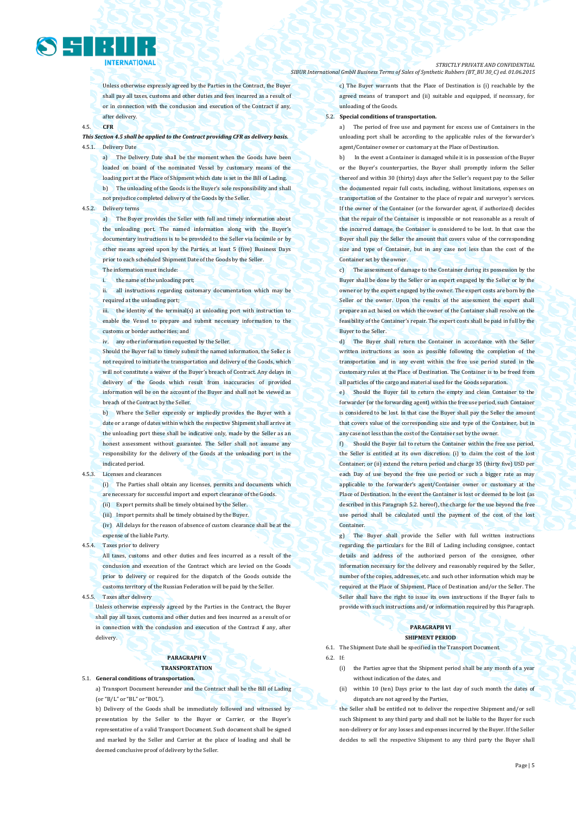

Unless otherwise expressly agreed by the Parties in the Contract, the Buyer shall pay all taxes, customs and other duties and fees incurred as a result of or in connection with the conclusion and execution of the Contract if any, after delivery.

#### 4.5. **CFR**

# *This Section 4.5 shall be applied to the Contract providing CFR as delivery basis.*  4.5.1. Delivery Date

a) The Delivery Date shall be the moment when the Goods have been loaded on board of the nominated Vessel by customary means of the loading port at the Place of Shipment which date is set in the Bill of Lading. b) The unloading of the Goods is the Buyer's sole responsibility and shall not prejudice completed delivery of the Goods by the Seller.

#### 4.5.2. Delivery terms

a) The Buyer provides the Seller with full and timely information about the unloading port. The named information along with the Buyer's documentary instructions is to be provided to the Seller via facsimile or by other means agreed upon by the Parties, at least 5 (five) Business Days prior to each scheduled Shipment Date of the Goods by the Seller. The information must include:

the name of the unloading port;

ii. all instructions regarding customary documentation which may be required at the unloading port;

iii. the identity of the terminal(s) at unloading port with instruction to enable the Vessel to prepare and submit necessary information to the customs or border authorities; and

iv. any other information requested by the Seller.

Should the Buyer fail to timely submit the named information, the Seller is not required to initiate the transportation and delivery of the Goods, which will not constitute a waiver of the Buyer's breach of Contract. Any delays in delivery of the Goods which result from inaccuracies of provided information will be on the account of the Buyer and shall not be viewed as breach of the Contract by the Seller.

b) Where the Seller expressly or impliedly provides the Buyer with a date or a range of dates within which the respective Shipment shall arrive at the unloading port these shall be indicative only, made by the Seller as an honest assessment without guarantee. The Seller shall not assume any responsibility for the delivery of the Goods at the unloading port in the indicated period.

4.5.3. Licenses and clearances

(i) The Parties shall obtain any licenses, permits and documents which are necessary for successful import and export clearance of the Goods. (ii) Export permits shall be timely obtained by the Seller.

(iii) Import permits shall be timely obtained by the Buyer.

(iv) All delays for the reason of absence of custom clearance shall be at the expense of the liable Party.

4.5.4. Taxes prior to delivery

All taxes, customs and other duties and fees incurred as a result of the conclusion and execution of the Contract which are levied on the Goods prior to delivery or required for the dispatch of the Goods outside the customs territory of the Russian Federation will be paid by the Seller.

4.5.5. Taxes after delivery

Unless otherwise expressly agreed by the Parties in the Contract, the Buyer shall pay all taxes, customs and other duties and fees incurred as a result of or in connection with the conclusion and execution of the Contract if any, after delivery.

# **PARAGRAPH V TRANSPORTATION**

5.1. **General conditions of transportation.**

a) Transport Document hereunder and the Contract shall be the Bill of Lading (or "B/L" or "BL" or "BOL").

b) Delivery of the Goods shall be immediately followed and witnessed by presentation by the Seller to the Buyer or Carrier, or the Buyer's representative of a valid Transport Document. Such document shall be signed and marked by the Seller and Carrier at the place of loading and shall be deemed conclusive proof of delivery by the Seller.

c) The Buyer warrants that the Place of Destination is (i) reachable by the agreed means of transport and (ii) suitable and equipped, if necessary, for unloading of the Goods.

#### 5.2. **Special conditions of transportation.**

a) The period of free use and payment for excess use of Containers in the unloading port shall be according to the applicable rules of the forwarder's agent/Container owner or customary at the Place of Destination.

In the event a Container is damaged while it is in possession of the Buyer or the Buyer's counterparties, the Buyer shall promptly inform the Seller thereof and within 30 (thirty) days after the Seller's request pay to the Seller the documented repair full costs, including, without limitations, expenses on transportation of the Container to the place of repair and surveyor's services. If the owner of the Container (or the forwarder agent, if authorized) decides that the repair of the Container is impossible or not reasonable as a result of the incurred damage, the Container is considered to be lost. In that case the Buyer shall pay the Seller the amount that covers value of the corresponding size and type of Container, but in any case not less than the cost of the Container set by the owner.

c) The assessment of damage to the Container during its possession by the Buyer shall be done by the Seller or an expert engaged by the Seller or by the owner or by the expert engaged by the owner. The expert costs are born by the Seller or the owner. Upon the results of the assessment the expert shall prepare an act based on which the owner of the Container shall resolve on the feasibility of the Container's repair. The expert costs shall be paid in full by the Buyer to the Seller.

d) The Buyer shall return the Container in accordance with the Seller written instructions as soon as possible following the completion of the transportation and in any event within the free use period stated in the customary rules at the Place of Destination. The Container is to be freed from all particles of the cargo and material used for the Goods separation.

e) Should the Buyer fail to return the empty and clean Container to the forwarder (or the forwarding agent) within the free use period, such Container is considered to be lost. In that case the Buyer shall pay the Seller the amount that covers value of the corresponding size and type of the Container, but in any case not less than the cost of the Container set by the owner.

f) Should the Buyer fail to return the Container within the free use period, the Seller is entitled at its own discretion: (i) to claim the cost of the lost Container; or (ii) extend the return period and charge 35 (thirty five) USD per each Day of use beyond the free use period or such a bigger rate as may applicable to the forwarder's agent/Container owner or customary at the Place of Destination. In the event the Container is lost or deemed to be lost (as described in this Paragraph 5.2. hereof), the charge for the use beyond the free use period shall be calculated until the payment of the cost of the lost **Container** 

g) The Buyer shall provide the Seller with full written instructions regarding the particulars for the Bill of Lading including consignee, contact details and address of the authorized person of the consignee, other information necessary for the delivery and reasonably required by the Seller, number of the copies, addresses, etc. and such other information which may be required at the Place of Shipment, Place of Destination and/or the Seller. The Seller shall have the right to issue its own instructions if the Buyer fails to provide with such instructions and/or information required by this Paragraph.

### **PARAGRAPH VI SHIPMENT PERIOD**

6.1. The Shipment Date shall be specified in the Transport Document.

 $6.2$  If:

- (i) the Parties agree that the Shipment period shall be any month of a year without indication of the dates, and
- (ii) within 10 (ten) Days prior to the last day of such month the dates of dispatch are not agreed by the Parties,

the Seller shall be entitled not to deliver the respective Shipment and/or sell such Shipment to any third party and shall not be liable to the Buyer for such non-delivery or for any losses and expenses incurred by the Buyer. If the Seller decides to sell the respective Shipment to any third party the Buyer shall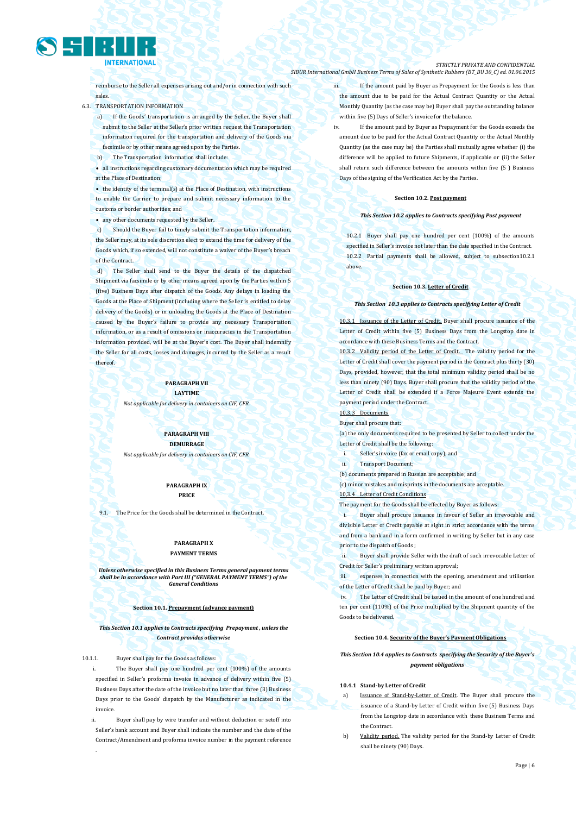

reimburse to the Seller all expenses arising out and/or in connection with such sales.

6.3. TRANSPORTATION INFORMATION

a) If the Goods' transportation is arranged by the Seller, the Buyer shall submit to the Seller at the Seller's prior written request the Transportation

- information required for the transportation and delivery of the Goods via facsimile or by other means agreed upon by the Parties.
- The Transportation information shall include

 all instructions regarding customary documentation which may be required at the Place of Destination;

 $\bullet$  the identity of the terminal(s) at the Place of Destination, with instructions to enable the Carrier to prepare and submit necessary information to the customs or border authorities; and

any other documents requested by the Seller.

c) Should the Buyer fail to timely submit the Transportation information, the Seller may, at its sole discretion elect to extend the time for delivery of the Goods which, if so extended, will not constitute a waiver of the Buyer's breach of the Contract.

d) The Seller shall send to the Buyer the details of the dispatched Shipment via facsimile or by other means agreed upon by the Parties within 5 (five) Business Days after dispatch of the Goods. Any delays in loading the Goods at the Place of Shipment (including where the Seller is entitled to delay delivery of the Goods) or in unloading the Goods at the Place of Destination caused by the Buyer's failure to provide any necessary Transportation information, or as a result of omissions or inaccuracies in the Transportation information provided, will be at the Buyer's cost. The Buyer shall indemnify the Seller for all costs, losses and damages, incurred by the Seller as a result thereof.

#### **PARAGRAPH VII LAYTIME**

*Not applicable for delivery in containers on CIF, CFR.*

**PARAGRAPH VIII DEMURRAGE** *Not applicable for delivery in containers on CIF, CFR.*

> **PARAGRAPH IX PRICE**

9.1. The Price for the Goods shall be determined in the Contract.

# **PARAGRAPH X PAYMENT TERMS**

*Unless otherwise specified in this Business Terms general payment terms shall be in accordance with Part III ("GENERAL PAYMENT TERMS") of the General Conditions*

#### **Section 10.1. Prepayment (advance payment)**

*This Section 10.1 applies to Contracts specifying Prepayment , unless the Contract provides otherwise*

10.1.1. Buyer shall pay for the Goods as follows:

The Buyer shall pay one hundred per cent (100%) of the amounts specified in Seller's proforma invoice in advance of delivery within five (5) Business Days after the date of the invoice but no later than three (3) Business Days prior to the Goods' dispatch by the Manufacturer as indicated in the invoic

Buyer shall pay by wire transfer and without deduction or setoff into Seller's bank account and Buyer shall indicate the number and the date of the Contract/Amendment and proforma invoice number in the payment reference .

*STRICTLY PRIVATE AND CONFIDENTIAL SIBUR International GmbH Business Terms of Sales of Synthetic Rubbers (BT\_BU 30\_C) ed. 01.06.2015*

> iii. If the amount paid by Buyer as Prepayment for the Goods is less than the amount due to be paid for the Actual Contract Quantity or the Actual Monthly Quantity (as the case may be) Buyer shall pay the outstanding balance within five (5) Days of Seller's invoice for the balance.

If the amount paid by Buyer as Prepayment for the Goods exceeds the amount due to be paid for the Actual Contract Quantity or the Actual Monthly Quantity (as the case may be) the Parties shall mutually agree whether (i) the difference will be applied to future Shipments, if applicable or (ii) the Seller shall return such difference between the amounts within five (5 ) Business Days of the signing of the Verification Act by the Parties.

#### **Section 10.2. Post payment**

### *This Section 10.2 applies to Contracts specifying Post payment*

10.2.1 Buyer shall pay one hundred per cent (100%) of the amounts specified in Seller's invoice not later than the date specified in the Contract. 10.2.2 Partial payments shall be allowed, subject to subsection10.2.1 above.

#### **Section 10.3. Letter of Credit**

#### *This Section 10.3 applies to Contracts specifying Letter of Credit*

If the Letter of Credit. Buyer shall procure issuance of the Letter of Credit within five (5) Business Days from the Longstop date in accordance with these Business Terms and the Contract.

10.3.2 Validity period of the Letter of Credit. The validity period for the Letter of Credit shall cover the payment period in the Contract plus thirty (30) Days, provided, however, that the total minimum validity period shall be no less than ninety (90) Days. Buyer shall procure that the validity period of the Letter of Credit shall be extended if a Force Majeure Event extends the payment period under the Contract.

#### 10.3.3 Documents

Buyer shall procure that:

(a) the only documents required to be presented by Seller to collect under the Letter of Credit shall be the following:

- Seller's invoice (fax or email copy); and
- ii. Transport Document;

(b) documents prepared in Russian are acceptable; and

(c) minor mistakes and misprints in the documents are acceptable.

# Letter of Credit Conditi

The payment for the Goods shall be effected by Buyer as follows:

i. Buyer shall procure issuance in favour of Seller an irrevocable and divisible Letter of Credit payable at sight in strict accordance with the terms and from a bank and in a form confirmed in writing by Seller but in any case prior to the dispatch of Goods ;

ii. Buyer shall provide Seller with the draft of such irrevocable Letter of Credit for Seller's preliminary written approval;

expenses in connection with the opening, amendment and utilisation of the Letter of Credit shall be paid by Buyer; and

The Letter of Credit shall be issued in the amount of one hundred and ten per cent (110%) of the Price multiplied by the Shipment quantity of the Goods to be delivered.

#### **Section 10.4. Security of the Buyer's Payment Obligations**

# *This Section 10.4 applies to Contracts specifying the Security of the Buyer's payment obligations*

### **10.4.1 Stand-by Letter of Credit**

- a) Issuance of Stand-by-Letter of Credit. The Buyer shall procure the issuance of a Stand-by Letter of Credit within five (5) Business Days from the Longstop date in accordance with these Business Terms and the Contract.
- Validity period. The validity period for the Stand-by Letter of Credit shall be ninety (90) Days.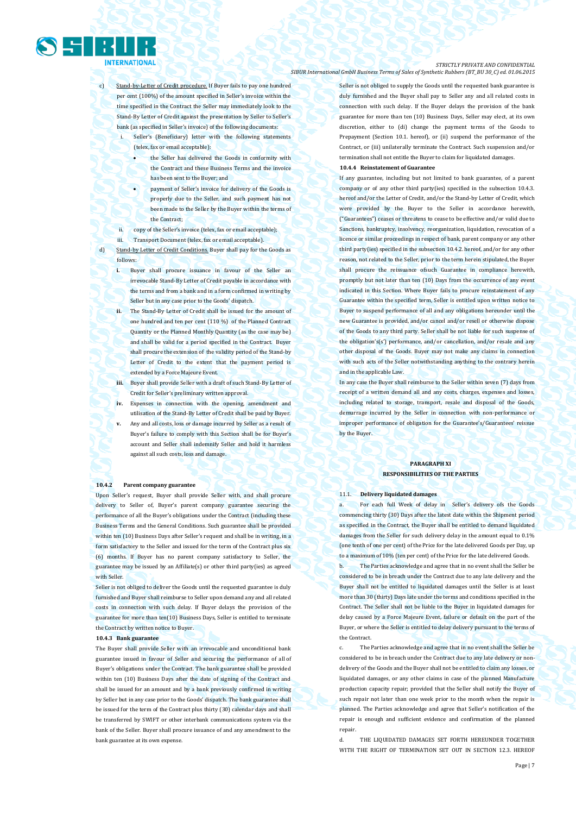

- Stand-by-Letter of Credit procedure. If Buyer fails to pay one hundred per cent (100%) of the amount specified in Seller's invoice within the time specified in the Contract the Seller may immediately look to the Stand-By Letter of Credit against the presentation by Seller to Seller's bank (as specified in Seller's invoice) of the following documents:
	- Seller's (Beneficiary) letter with the following statements (telex, fax or email acceptable):
		- the Seller has delivered the Goods in conformity with the Contract and these Business Terms and the invoice has been sent to the Buyer; and
		- payment of Seller's invoice for delivery of the Goods is properly due to the Seller, and such payment has not been made to the Seller by the Buyer within the terms of the Contract;
	- ii. copy of the Seller's invoice (telex, fax or email acceptable);
- iii. Transport Document (telex, fax or email acceptable).

d) Stand-by Letter of Credit Conditions. Buyer shall pay for the Goods as follows:

- **i.** Buyer shall procure issuance in favour of the Seller an irrevocable Stand-By Letter of Credit payable in accordance with the terms and from a bank and in a form confirmed in writing by Seller but in any case prior to the Goods' dispatch.
- **ii.** The Stand-By Letter of Credit shall be issued for the amount of one hundred and ten per cent (110 %) of the Planned Contract Quantity or the Planned Monthly Quantity (as the case may be) and shall be valid for a period specified in the Contract. Buyer shall procure the extension of the validity period of the Stand-by Letter of Credit to the extent that the payment period is extended by a Force Majeure Event.
- **iii.** Buyer shall provide Seller with a draft of such Stand-By Letter of Credit for Seller's preliminary written approval.
- **iv.** Expenses in connection with the opening, amendment and utilisation of the Stand-By Letter of Credit shall be paid by Buyer.
- **v.** Any and all costs, loss or damage incurred by Seller as a result of Buyer's failure to comply with this Section shall be for Buyer's account and Seller shall indemnify Seller and hold it harmless against all such costs, loss and damage.

#### **10.4.2 Parent company guarantee**

Upon Seller's request, Buyer shall provide Seller with, and shall procure delivery to Seller of, Buyer's parent company guarantee securing the performance of all the Buyer's obligations under the Contract (including these Business Terms and the General Conditions. Such guarantee shall be provided within ten (10) Business Days after Seller's request and shall be in writing, in a form satisfactory to the Seller and issued for the term of the Contract plus six (6) months. If Buyer has no parent company satisfactory to Seller, the guarantee may be issued by an Affiliate(s) or other third party(ies) as agreed with Seller.

Seller is not obliged to deliver the Goods until the requested guarantee is duly furnished and Buyer shall reimburse to Seller upon demand any and all related costs in connection with such delay. If Buyer delays the provision of the guarantee for more than ten(10) Business Days, Seller is entitled to terminate the Contract by written notice to Buyer.

#### **10.4.3 Bank guarantee**

The Buyer shall provide Seller with an irrevocable and unconditional bank guarantee issued in favour of Seller and securing the performance of all of Buyer's obligations under the Contract. The bank guarantee shall be provided within ten (10) Business Days after the date of signing of the Contract and shall be issued for an amount and by a bank previously confirmed in writing by Seller but in any case prior to the Goods' dispatch. The bank guarantee shall be issued for the term of the Contract plus thirty (30) calendar days and shall be transferred by SWIFT or other interbank communications system via the bank of the Seller. Buyer shall procure issuance of and any amendment to the bank guarantee at its own expense.

Seller is not obliged to supply the Goods until the requested bank guarantee is duly furnished and the Buyer shall pay to Seller any and all related costs in connection with such delay. If the Buyer delays the provision of the bank guarantee for more than ten (10) Business Days, Seller may elect, at its own discretion, either to (di) change the payment terms of the Goods to Prepayment (Section 10.1. hereof), or (ii) suspend the performance of the Contract, or (iii) unilaterally terminate the Contract. Such suspension and/or termination shall not entitle the Buyer to claim for liquidated damages

# **10.4.4 Reinstatement of Guarantee**

If any guarantee, including but not limited to bank guarantee, of a parent company or of any other third party(ies) specified in the subsection 10.4.3. hereof and/or the Letter of Credit, and/or the Stand-by Letter of Credit, which were provided by the Buyer to the Seller in accordance herewith, ("Guarantees") ceases or threatens to cease to be effective and/or valid due to Sanctions, bankruptcy, insolvency, reorganization, liquidation, revocation of a licence or similar proceedings in respect of bank, parent company or any other third party(ies) specified in the subsection 10.4.2. hereof, and/or for any other reason, not related to the Seller, prior to the term herein stipulated, the Buyer shall procure the reissuance ofsuch Guarantee in compliance herewith, promptly but not later than ten (10) Days from the occurrence of any event indicated in this Section. Where Buyer fails to procure reinstatement of any Guarantee within the specified term, Seller is entitled upon written notice to Buyer to suspend performance of all and any obligations hereunder until the new Guarantee is provided, and/or cancel and/or resell or otherwise dispose of the Goods to any third party. Seller shall be not liable for such suspense of the obligation's(s') performance, and/or cancellation, and/or resale and any other disposal of the Goods. Buyer may not make any claims in connection with such acts of the Seller notwithstanding anything to the contrary herein and in the applicable Law.

In any case the Buyer shall reimburse to the Seller within seven (7) days from receipt of a written demand all and any costs, charges, expenses and losses, including related to storage, transport, resale and disposal of the Goods, demurrage incurred by the Seller in connection with non-performance or improper performance of obligation for the Guarantee's/Guarantees' reissue by the Buyer.

# **PARAGRAPH XI RESPONSIBILITIES OF THE PARTIES**

#### 11.1. **Delivery liquidated damages**

For each full Week of delay in Seller's delivery ofs the Goods commencing thirty (30) Days after the latest date within the Shipment period as specified in the Contract, the Buyer shall be entitled to demand liquidated damages from the Seller for such delivery delay in the amount equal to 0.1% (one tenth of one per cent) of the Price for the late delivered Goods per Day, up to a maximum of 10% (ten per cent) of the Price for the late delivered Goods.

b. The Parties acknowledge and agree that in no event shall the Seller be considered to be in breach under the Contract due to any late delivery and the Buyer shall not be entitled to liquidated damages until the Seller is at least more than 30 (thirty) Days late under the terms and conditions specified in the Contract. The Seller shall not be liable to the Buyer in liquidated damages for delay caused by a Force Majeure Event, failure or default on the part of the Buyer, or where the Seller is entitled to delay delivery pursuant to the terms of the Contract.

c. The Parties acknowledge and agree that in no event shall the Seller be considered to be in breach under the Contract due to any late delivery or nondelivery of the Goods and the Buyer shall not be entitled to claim any losses, or liquidated damages, or any other claims in case of the planned Manufacture production capacity repair; provided that the Seller shall notify the Buyer of such repair not later than one week prior to the month when the repair is planned. The Parties acknowledge and agree that Seller's notification of the repair is enough and sufficient evidence and confirmation of the planned repair.

d. THE LIQUIDATED DAMAGES SET FORTH HEREUNDER TOGETHER WITH THE RIGHT OF TERMINATION SET OUT IN SECTION 12.3. HEREOF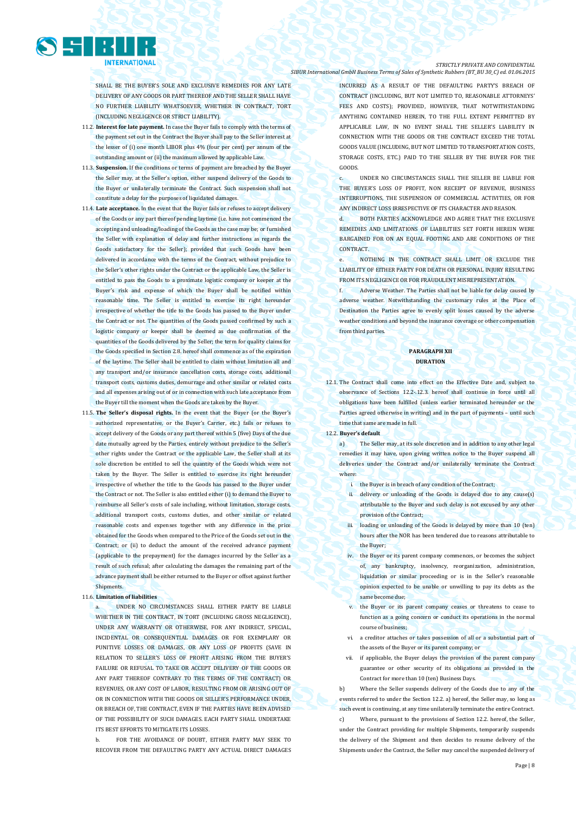

SHALL BE THE BUYER'S SOLE AND EXCLUSIVE REMEDIES FOR ANY LATE DELIVERY OF ANY GOODS OR PART THEREOF AND THE SELLER SHALL HAVE NO FURTHER LIABILITY WHATSOEVER, WHETHER IN CONTRACT, TORT (INCLUDING NEGLIGENCE OR STRICT LIABILITY).

- 11.2. **Interest for late payment.** In case the Buyer fails to comply with the terms of the payment set out in the Contract the Buyer shall pay to the Seller interest at the lesser of (i) one month LIBOR plus 4% (four per cent) per annum of the outstanding amount or (ii) the maximum allowed by applicable Law.
- 11.3. **Suspension.** If the conditions or terms of payment are breached by the Buyer the Seller may, at the Seller's option, either suspend delivery of the Goods to the Buyer or unilaterally terminate the Contract. Such suspension shall not constitute a delay for the purposes of liquidated damages.
- 11.4. **Late acceptance.** In the event that the Buyer fails or refuses to accept delivery of the Goods or any part thereof pending laytime (i.e. have not commenced the accepting and unloading/loading of the Goods as the case may be; or furnished the Seller with explanation of delay and further instructions as regards the Goods satisfactory for the Seller); provided that such Goods have been delivered in accordance with the terms of the Contract, without prejudice to the Seller's other rights under the Contract or the applicable Law, the Seller is entitled to pass the Goods to a proximate logistic company or keeper at the Buyer's risk and expense of which the Buyer shall be notified within reasonable time. The Seller is entitled to exercise its right hereunder irrespective of whether the title to the Goods has passed to the Buyer under the Contract or not. The quantities of the Goods passed confirmed by such a logistic company or keeper shall be deemed as due confirmation of the quantities of the Goods delivered by the Seller; the term for quality claims for the Goods specified in Section 2.8. hereof shall commence as of the expiration of the laytime. The Seller shall be entitled to claim without limitation all and any transport and/or insurance cancellation costs, storage costs, additional transport costs, customs duties, demurrage and other similar or related costs and all expenses arising out of or in connection with such late acceptance from the Buyer till the moment when the Goods are taken by the Buyer.
- 11.5. **The Seller's disposal rights.** In the event that the Buyer (or the Buyer's authorized representative, or the Buyer's Carrier, etc.) fails or refuses to accept delivery of the Goods or any part thereof within 5 (five) Days of the due date mutually agreed by the Parties, entirely without prejudice to the Seller's other rights under the Contract or the applicable Law, the Seller shall at its sole discretion be entitled to sell the quantity of the Goods which were not taken by the Buyer. The Seller is entitled to exercise its right hereunder irrespective of whether the title to the Goods has passed to the Buyer under the Contract or not. The Seller is also entitled either (i) to demand the Buyer to reimburse all Seller's costs of sale including, without limitation, storage costs, additional transport costs, customs duties, and other similar or related reasonable costs and expenses together with any difference in the price obtained for the Goods when compared to the Price of the Goods set out in the Contract; or (ii) to deduct the amount of the received advance payment (applicable to the prepayment) for the damages incurred by the Seller as a result of such refusal; after calculating the damages the remaining part of the advance payment shall be either returned to the Buyer or offset against further Shipments.

# 11.6. **Limitation of liabilities**

UNDER NO CIRCUMSTANCES SHALL EITHER PARTY BE LIABLE WHETHER IN THE CONTRACT, IN TORT (INCLUDING GROSS NEGLIGENCE). UNDER ANY WARRANTY OR OTHERWISE, FOR ANY INDIRECT, SPECIAL, INCIDENTAL OR CONSEQUENTIAL DAMAGES OR FOR EXEMPLARY OR PUNITIVE LOSSES OR DAMAGES, OR ANY LOSS OF PROFITS (SAVE IN RELATION TO SELLER'S LOSS OF PROFIT ARISING FROM THE BUYER'S FAILURE OR REFUSAL TO TAKE OR ACCEPT DELIVERY OF THE GOODS OR ANY PART THEREOF CONTRARY TO THE TERMS OF THE CONTRACT) OR REVENUES, OR ANY COST OF LABOR, RESULTING FROM OR ARISING OUT OF OR IN CONNECTION WITH THE GOODS OR SELLER'S PERFORMANCE UNDER, OR BREACH OF, THE CONTRACT, EVEN IF THE PARTIES HAVE BEEN ADVISED OF THE POSSIBILITY OF SUCH DAMAGES. EACH PARTY SHALL UNDERTAKE ITS BEST EFFORTS TO MITIGATE ITS LOSSES.

b. FOR THE AVOIDANCE OF DOURT, FITHER PARTY MAY SEEK TO RECOVER FROM THE DEFAULTING PARTY ANY ACTUAL DIRECT DAMAGES

#### *STRICTLY PRIVATE AND CONFIDENTIAL SIBUR International GmbH Business Terms of Sales of Synthetic Rubbers (BT\_BU 30\_C) ed. 01.06.2015*

INCURRED AS A RESULT OF THE DEFAULTING PARTY'S BREACH OF CONTRACT (INCLUDING, BUT NOT LIMITED TO, REASONABLE ATTORNEYS' FEES AND COSTS): PROVIDED, HOWEVER, THAT NOTWITHSTANDING ANYTHING CONTAINED HEREIN, TO THE FULL EXTENT PERMITTED BY APPLICABLE LAW, IN NO EVENT SHALL THE SELLER'S LIABILITY IN CONNECTION WITH THE GOODS OR THE CONTRACT EXCEED THE TOTAL GOODS VALUE (INCLUDING, BUT NOT LIMITED TO TRANSPORTATION COSTS, STORAGE COSTS, ETC.) PAID TO THE SELLER BY THE BUYER FOR THE GOODS.

c. UNDER NO CIRCUMSTANCES SHALL THE SELLER BE LIABLE FOR THE BUYER'S LOSS OF PROFIT, NON RECEIPT OF REVENUE, BUSINESS INTERRUPTIONS, THE SUSPENSION OF COMMERCIAL ACTIVITIES, OR FOR ANY INDIRECT LOSS IRRESPECTIVE OF ITS CHARACTER AND REASON.

d. BOTH PARTIES ACKNOWLEDGE AND AGREE THAT THE EXCLUSIVE REMEDIES AND LIMITATIONS OF LIABILITIES SET FORTH HEREIN WERE BARGAINED FOR ON AN EQUAL FOOTING AND ARE CONDITIONS OF THE CONTRACT.

e. NOTHING IN THE CONTRACT SHALL LIMIT OR EXCLUDE THE LIABILITY OF EITHER PARTY FOR DEATH OR PERSONAL INJURY RESULTING FROM ITS NEGLIGENCE OR FOR FRAUDULENT MISREPRESENTATION.

Adverse Weather. The Parties shall not be liable for delay caused by adverse weather. Notwithstanding the customary rules at the Place of Destination the Parties agree to evenly split losses caused by the adverse weather conditions and beyond the insurance coverage or other compensation from third parties

# **PARAGRAPH XII DURATION**

- 12.1. The Contract shall come into effect on the Effective Date and, subject to observance of Sections 12.2-.12.3. hereof shall continue in force until all obligations have been fulfilled (unless earlier terminated hereunder or the Parties agreed otherwise in writing) and in the part of payments – until such time that same are made in full.
- 12.2. **Buyer's default**

a) The Seller may, at its sole discretion and in addition to any other legal remedies it may have, upon giving written notice to the Buyer suspend all deliveries under the Contract and/or unilaterally terminate the Contract where:

- i. the Buyer is in breach of any condition of the Contract;
- ii. delivery or unloading of the Goods is delayed due to any cause(s) attributable to the Buyer and such delay is not excused by any other provision of the Contract;
- iii. loading or unloading of the Goods is delayed by more than 10 (ten) hours after the NOR has been tendered due to reasons attributable to the Buyer
- iv. the Buyer or its parent company commences, or becomes the subject of, any bankruptcy, insolvency, reorganization, administration, liquidation or similar proceeding or is in the Seller's reasonable opinion expected to be unable or unwilling to pay its debts as the same become due;
- v. the Buyer or its parent company ceases or threatens to cease to function as a going concern or conduct its operations in the normal course of business;
- vi. a creditor attaches or takes possession of all or a substantial part of the assets of the Buyer or its parent company; or
- vii. if applicable, the Buyer delays the provision of the parent company guarantee or other security of its obligations as provided in the Contract for more than 10 (ten) Business Days.

b) Where the Seller suspends delivery of the Goods due to any of the events referred to under the Section 12.2. a) hereof, the Seller may, so long as such event is continuing, at any time unilaterally terminate the entire Contract. c) Where, pursuant to the provisions of Section 12.2. hereof, the Seller, under the Contract providing for multiple Shipments, temporarily suspends the delivery of the Shipment and then decides to resume delivery of the Shipments under the Contract, the Seller may cancel the suspended delivery of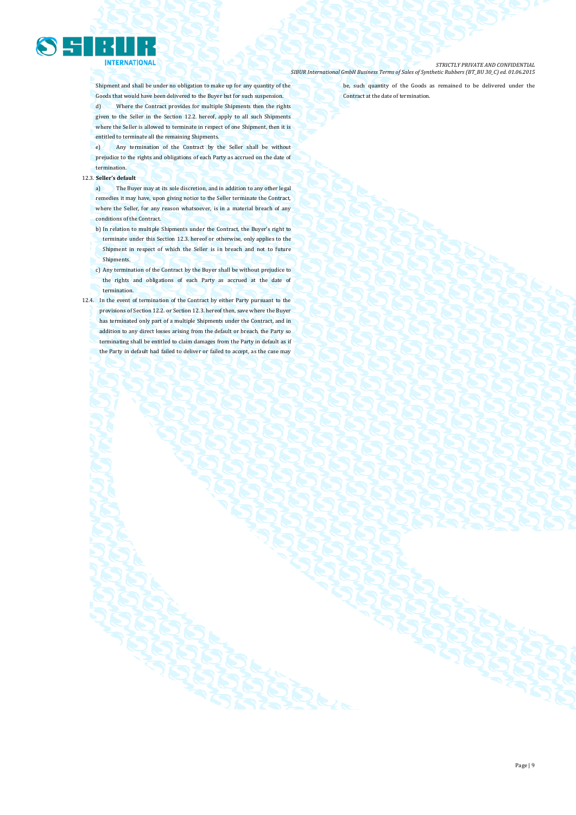

Shipment and shall be under no obligation to make up for any quantity of the Goods that would have been delivered to the Buyer but for such suspension. d) Where the Contract provides for multiple Shipments then the rights given to the Seller in the Section 12.2. hereof, apply to all such Shipments where the Seller is allowed to terminate in respect of one Shipment, then it is entitled to terminate all the remaining Shipments.

e) Any termination of the Contract by the Seller shall be without prejudice to the rights and obligations of each Party as accrued on the date of termination.

# 12.3. **Seller's default**

a) The Buyer may at its sole discretion, and in addition to any other legal remedies it may have, upon giving notice to the Seller terminate the Contract, where the Seller, for any reason whatsoever, is in a material breach of any conditions of the Contract.

b) In relation to multiple Shipments under the Contract, the Buyer's right to

- terminate under this Section 12.3. hereof or otherwise, only applies to the Shipment in respect of which the Seller is in breach and not to future **Shipments**
- c) Any termination of the Contract by the Buyer shall be without prejudice to the rights and obligations of each Party as accrued at the date of termination.
- 12.4. In the event of termination of the Contract by either Party pursuant to the provisions of Section 12.2. or Section 12.3. hereof then, save where the Buyer has terminated only part of a multiple Shipments under the Contract, and in addition to any direct losses arising from the default or breach, the Party so terminating shall be entitled to claim damages from the Party in default as if the Party in default had failed to deliver or failed to accept, as the case may

be, such quantity of the Goods as remained to be delivered under the Contract at the date of termination.